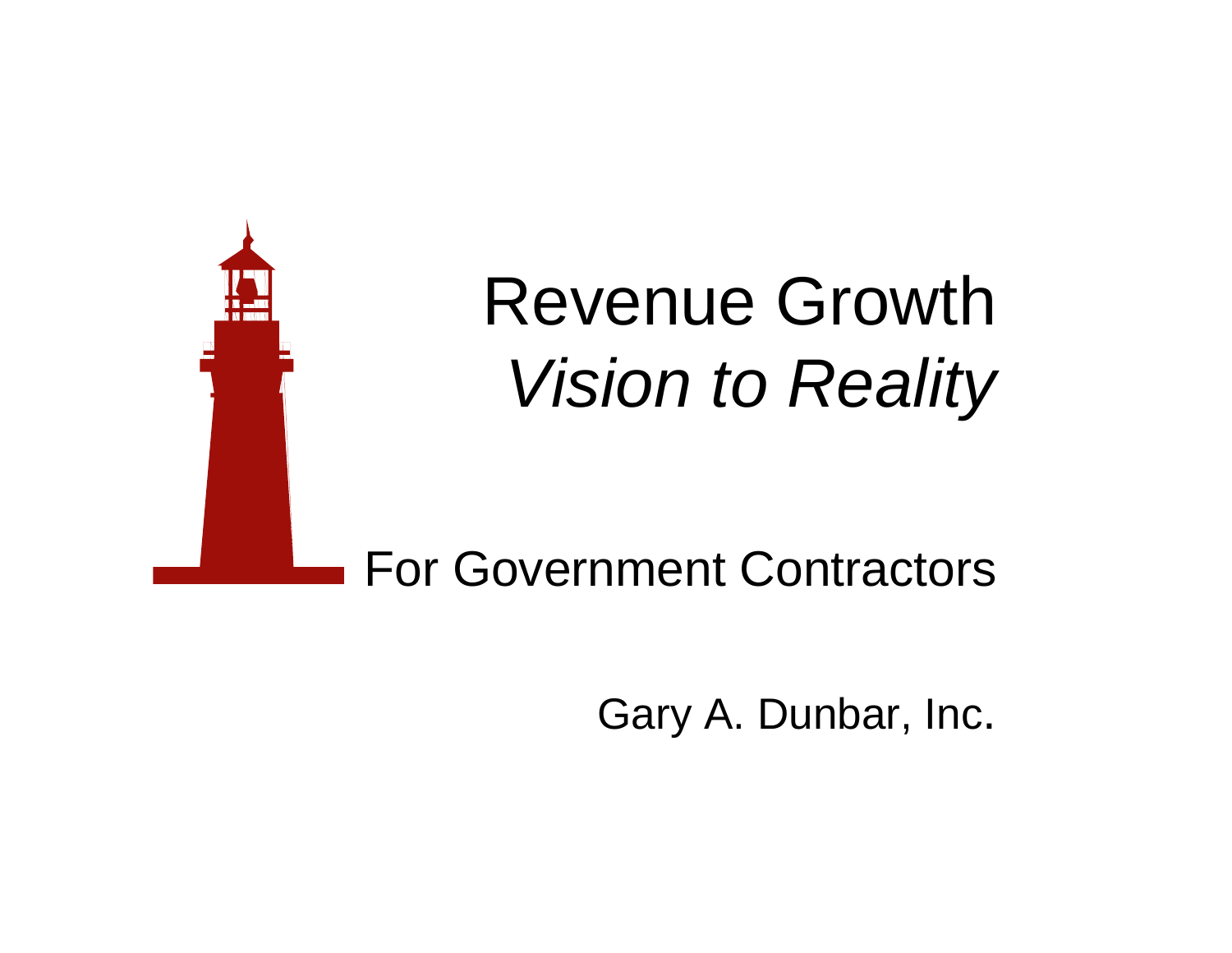

Gary A. Dunbar, Inc.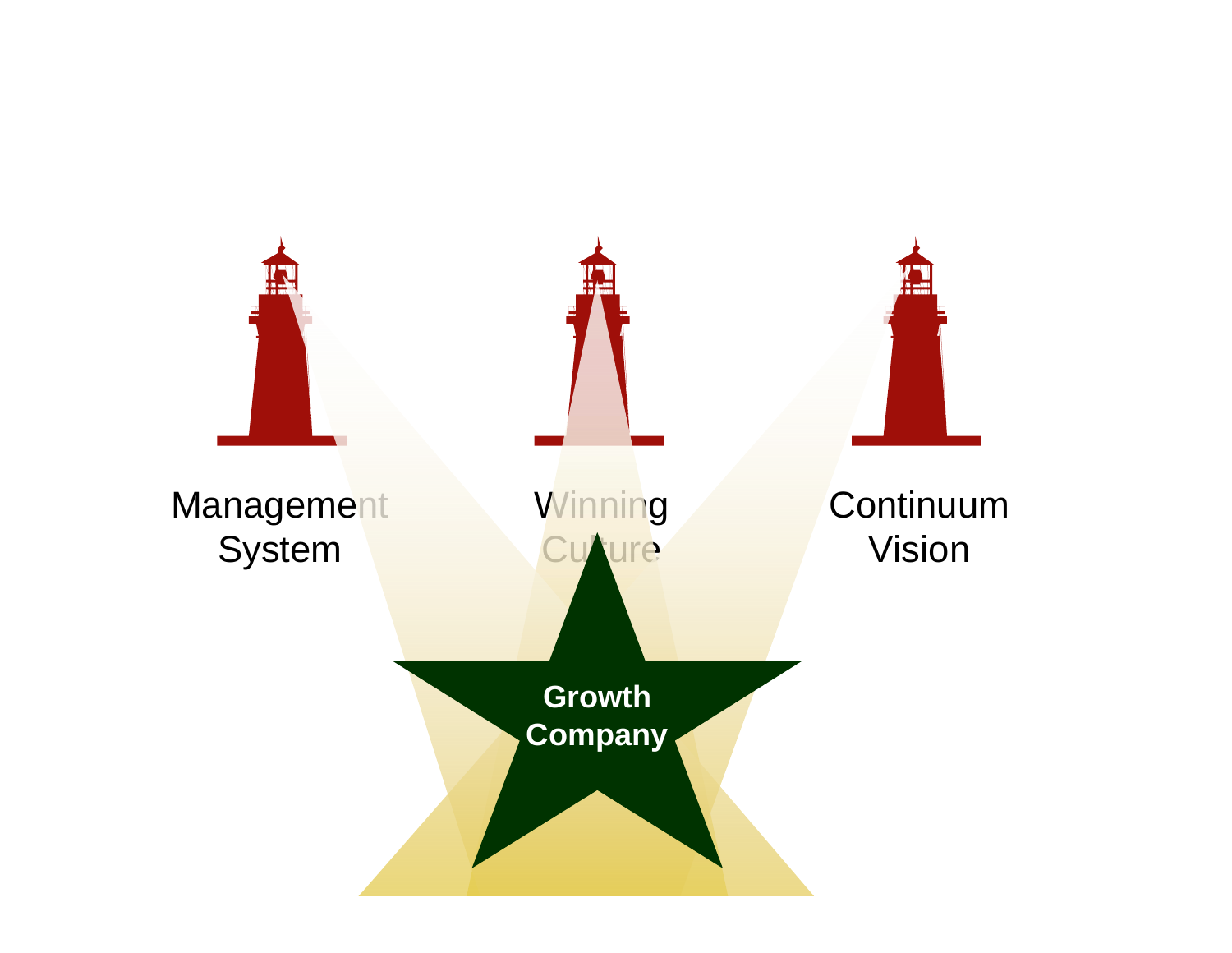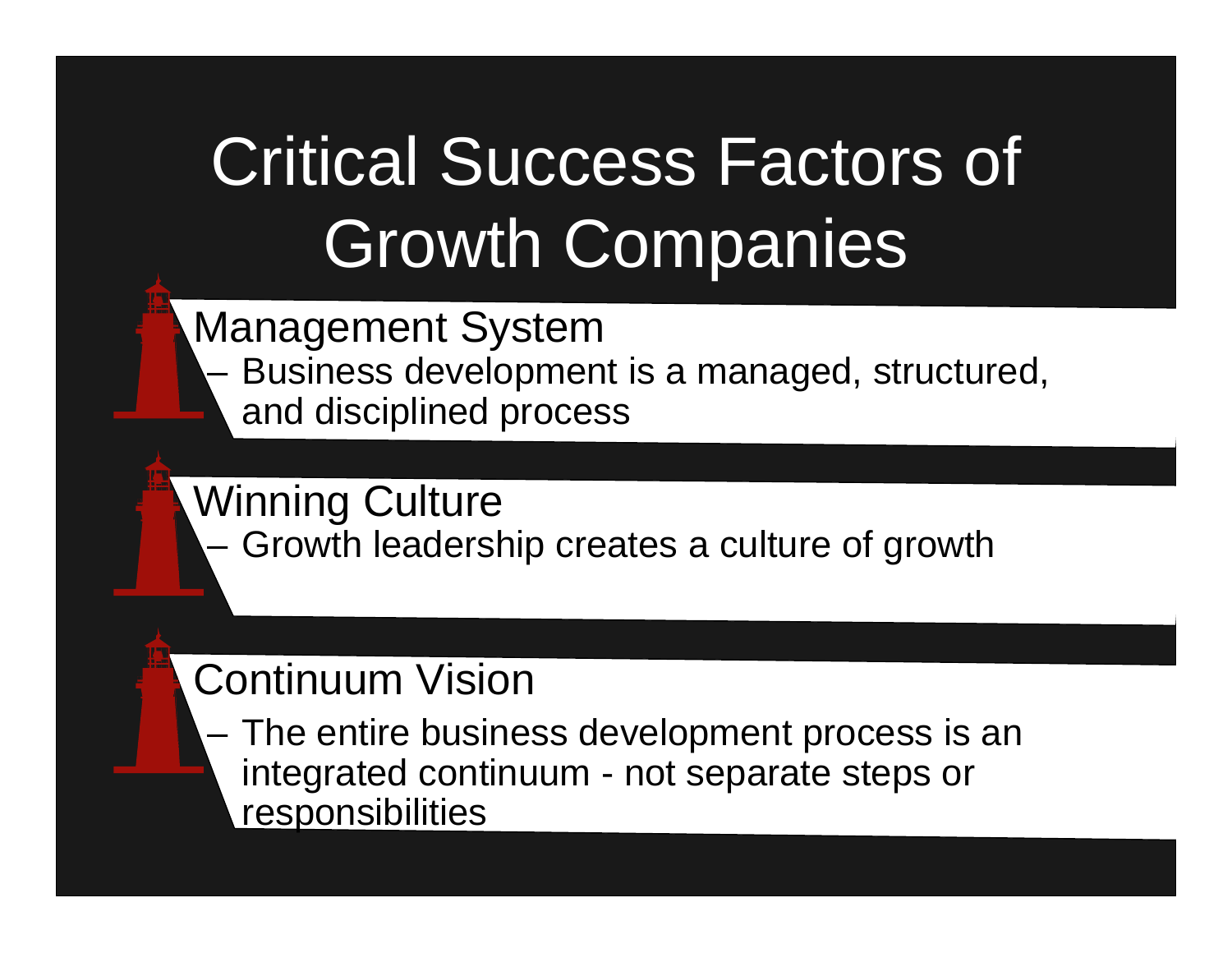# Critical Success Factors of Growth Companies

Management System

– Business development is a managed, structured, and disciplined process

Winning Culture

– Growth leadership creates a culture of growth

#### Continuum Vision

– The entire business development process is an integrated continuum - not separate steps or responsibilities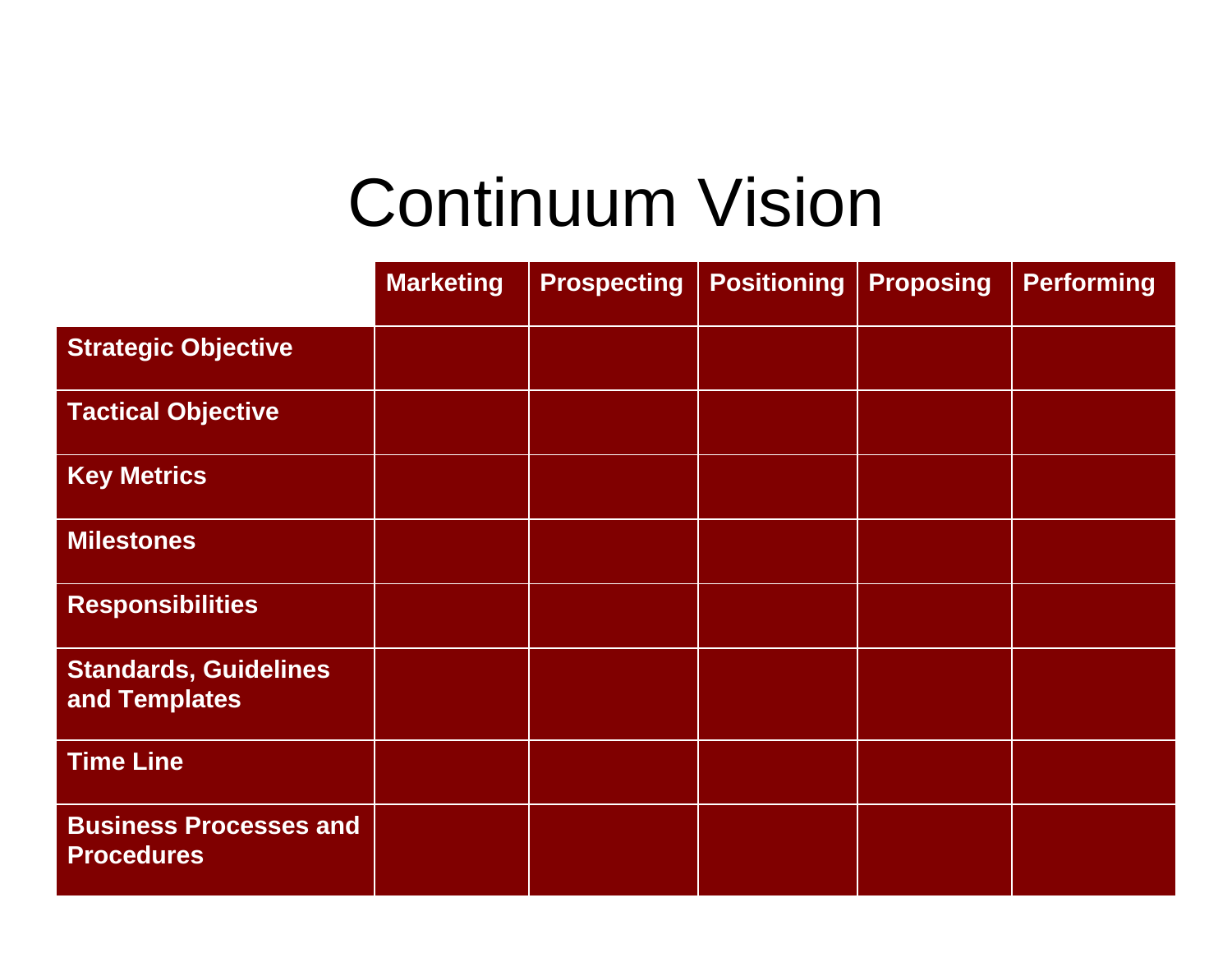#### Continuum Vision

|                                                    | <b>Marketing</b> | <b>Prospecting</b> | <b>Positioning</b> | <b>Proposing</b> | <b>Performing</b> |
|----------------------------------------------------|------------------|--------------------|--------------------|------------------|-------------------|
| <b>Strategic Objective</b>                         |                  |                    |                    |                  |                   |
| <b>Tactical Objective</b>                          |                  |                    |                    |                  |                   |
| <b>Key Metrics</b>                                 |                  |                    |                    |                  |                   |
| <b>Milestones</b>                                  |                  |                    |                    |                  |                   |
| <b>Responsibilities</b>                            |                  |                    |                    |                  |                   |
| <b>Standards, Guidelines</b><br>and Templates      |                  |                    |                    |                  |                   |
| <b>Time Line</b>                                   |                  |                    |                    |                  |                   |
| <b>Business Processes and</b><br><b>Procedures</b> |                  |                    |                    |                  |                   |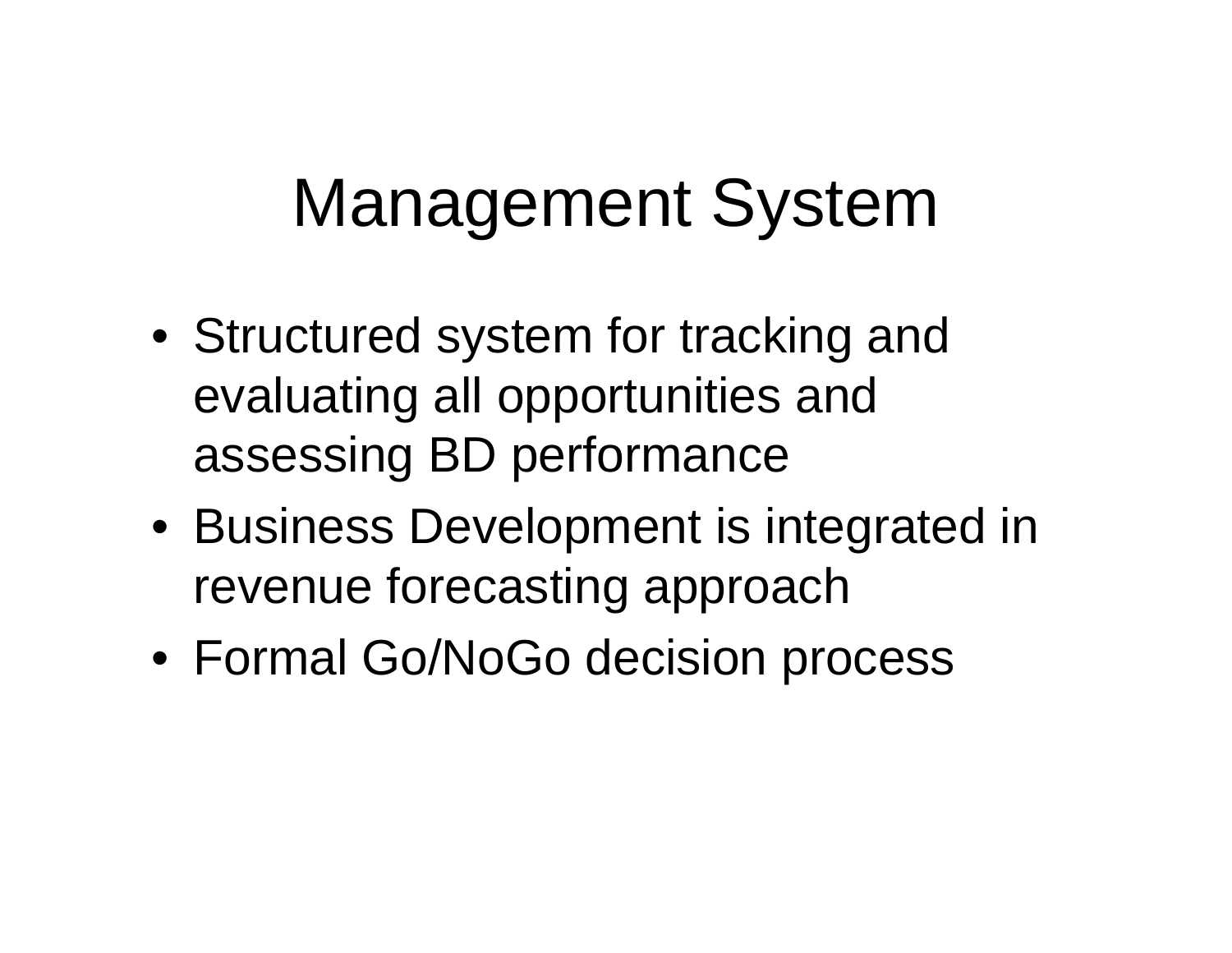### Management System

- Structured system for tracking and evaluating all opportunities and assessing BD performance
- Business Development is integrated in revenue forecasting approach
- Formal Go/NoGo decision process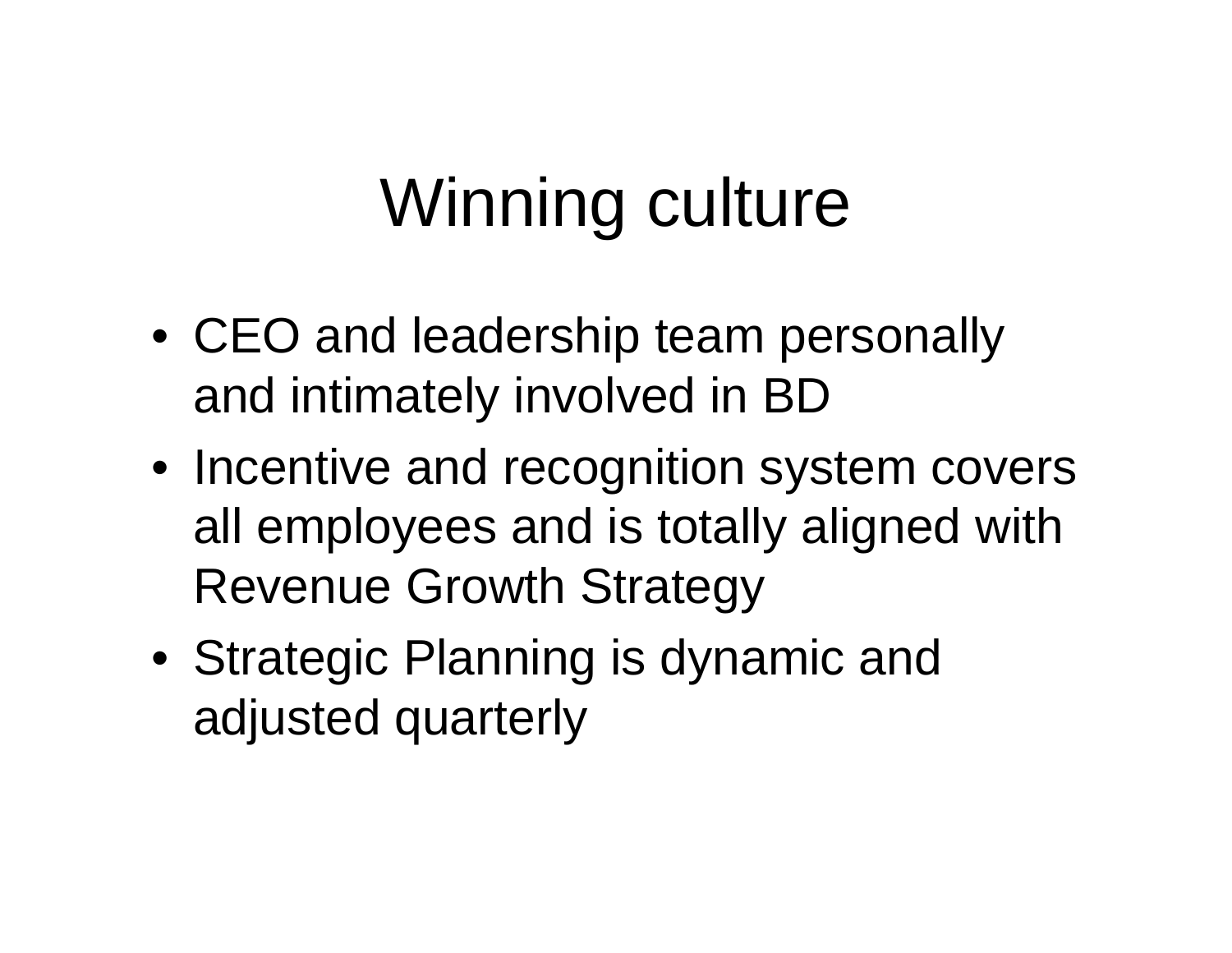# Winning culture

- CEO and leadership team personally and intimately involved in BD
- Incentive and recognition system covers all employees and is totally aligned with Revenue Growth Strategy
- Strategic Planning is dynamic and adjusted quarterly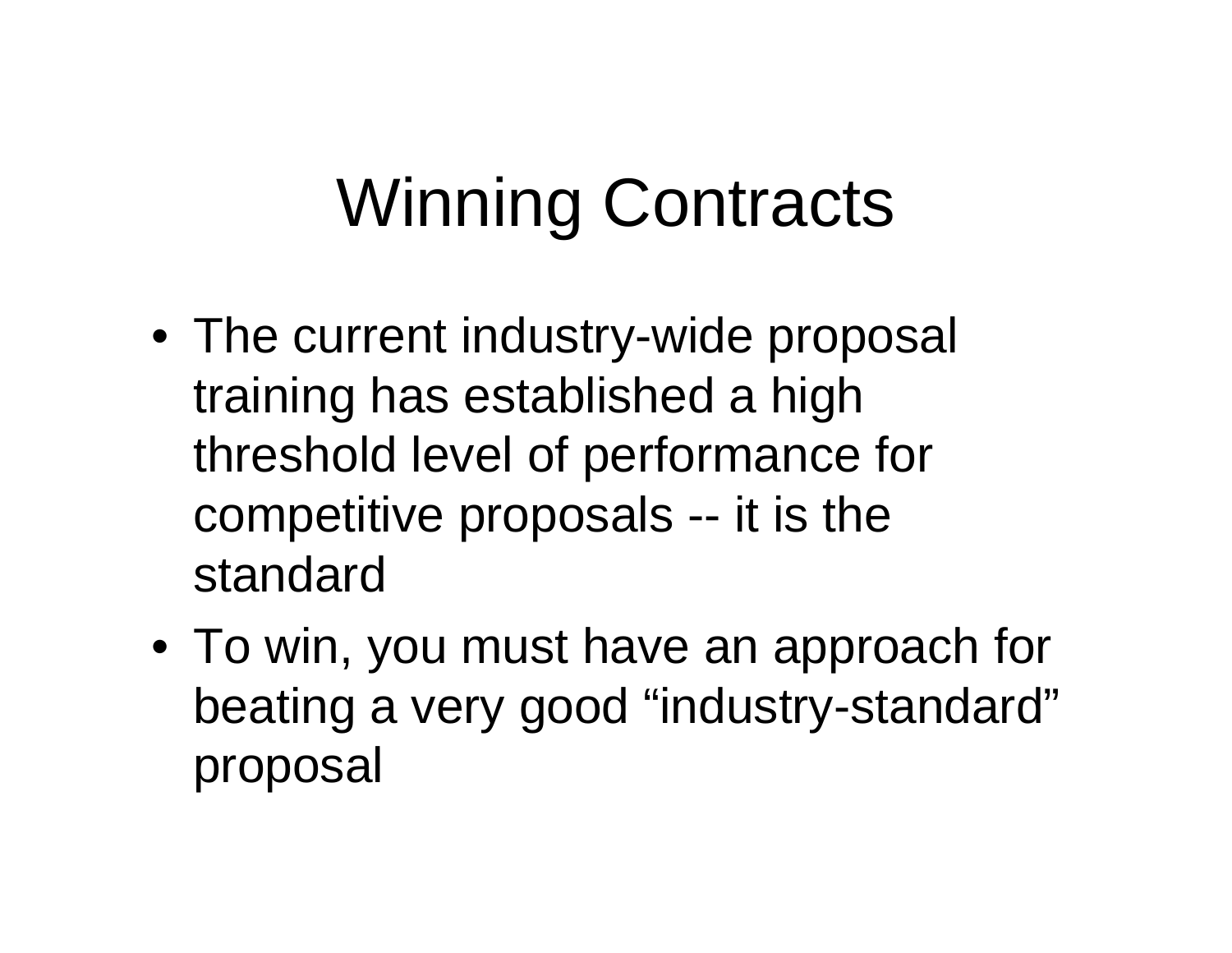# Winning Contracts

- The current industry-wide proposal training has established a high threshold level of performance for competitive proposals -- it is the standard
- To win, you must have an approach for beating a very good "industry-standard" proposal